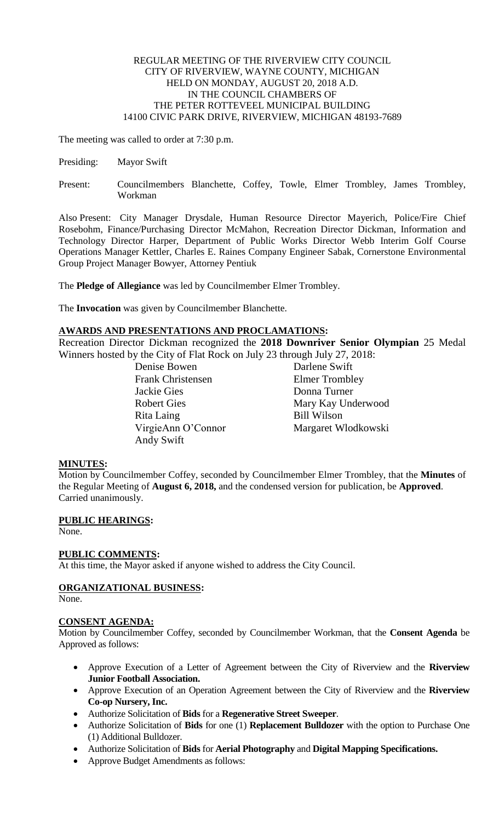## REGULAR MEETING OF THE RIVERVIEW CITY COUNCIL CITY OF RIVERVIEW, WAYNE COUNTY, MICHIGAN HELD ON MONDAY, AUGUST 20, 2018 A.D. IN THE COUNCIL CHAMBERS OF THE PETER ROTTEVEEL MUNICIPAL BUILDING 14100 CIVIC PARK DRIVE, RIVERVIEW, MICHIGAN 48193-7689

The meeting was called to order at 7:30 p.m.

- Presiding: Mayor Swift
- Present: Councilmembers Blanchette, Coffey, Towle, Elmer Trombley, James Trombley, Workman

Also Present: City Manager Drysdale, Human Resource Director Mayerich, Police/Fire Chief Rosebohm, Finance/Purchasing Director McMahon, Recreation Director Dickman, Information and Technology Director Harper, Department of Public Works Director Webb Interim Golf Course Operations Manager Kettler, Charles E. Raines Company Engineer Sabak, Cornerstone Environmental Group Project Manager Bowyer, Attorney Pentiuk

The **Pledge of Allegiance** was led by Councilmember Elmer Trombley.

The **Invocation** was given by Councilmember Blanchette.

# **AWARDS AND PRESENTATIONS AND PROCLAMATIONS:**

Recreation Director Dickman recognized the **2018 Downriver Senior Olympian** 25 Medal Winners hosted by the City of Flat Rock on July 23 through July 27, 2018:

> Denise Bowen Darlene Swift Frank Christensen Elmer Trombley Jackie Gies Donna Turner Rita Laing Bill Wilson Andy Swift

Robert Gies Mary Kay Underwood VirgieAnn O'Connor Margaret Wlodkowski

# **MINUTES:**

Motion by Councilmember Coffey, seconded by Councilmember Elmer Trombley, that the **Minutes** of the Regular Meeting of **August 6, 2018,** and the condensed version for publication, be **Approved**. Carried unanimously.

# **PUBLIC HEARINGS:**

None.

# **PUBLIC COMMENTS:**

At this time, the Mayor asked if anyone wished to address the City Council.

# **ORGANIZATIONAL BUSINESS:**

None.

# **CONSENT AGENDA:**

Motion by Councilmember Coffey, seconded by Councilmember Workman, that the **Consent Agenda** be Approved as follows:

- Approve Execution of a Letter of Agreement between the City of Riverview and the **Riverview Junior Football Association.**
- Approve Execution of an Operation Agreement between the City of Riverview and the **Riverview Co-op Nursery, Inc.**
- Authorize Solicitation of **Bids** for a **Regenerative Street Sweeper**.
- Authorize Solicitation of **Bids** for one (1) **Replacement Bulldozer** with the option to Purchase One (1) Additional Bulldozer.
- Authorize Solicitation of **Bids** for **Aerial Photography** and **Digital Mapping Specifications.**
- Approve Budget Amendments as follows: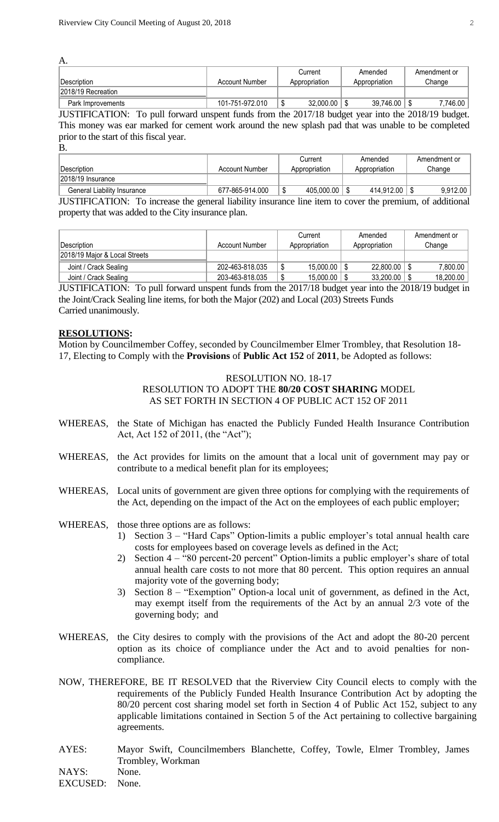| А.                 |                 |                |               |              |
|--------------------|-----------------|----------------|---------------|--------------|
|                    |                 | Current        | Amended       | Amendment or |
| Description        | Account Number  | Appropriation  | Appropriation | Change       |
| 2018/19 Recreation |                 |                |               |              |
| Park Improvements  | 101-751-972.010 | 32,000.00<br>Œ | 39,746.00     | 7,746.00     |

JUSTIFICATION: To pull forward unspent funds from the 2017/18 budget year into the 2018/19 budget. This money was ear marked for cement work around the new splash pad that was unable to be completed prior to the start of this fiscal year.

B.

|                             |                 | Current       | Amended       | Amendment or |
|-----------------------------|-----------------|---------------|---------------|--------------|
| !Description                | Account Number  | Appropriation | Appropriation | Change       |
| 2018/19 Insurance           |                 |               |               |              |
| General Liability Insurance | 677-865-914.000 | 405,000.00    | 414.912.00    | 9.912.00     |

JUSTIFICATION: To increase the general liability insurance line item to cover the premium, of additional property that was added to the City insurance plan.

| Description                   | Account Number  | Current<br>Appropriation | Amended<br>Appropriation | Amendment or<br>Change |
|-------------------------------|-----------------|--------------------------|--------------------------|------------------------|
| 2018/19 Maior & Local Streets |                 |                          |                          |                        |
| Joint / Crack Sealing         | 202-463-818.035 | 15.000.00                | 22,800.00                | 7.800.00               |
| Joint / Crack Sealing         | 203-463-818.035 | 15,000.00<br>œ<br>Φ      | 33,200.00                | 18,200.00              |

JUSTIFICATION: To pull forward unspent funds from the 2017/18 budget year into the 2018/19 budget in the Joint/Crack Sealing line items, for both the Major (202) and Local (203) Streets Funds Carried unanimously.

### **RESOLUTIONS:**

Motion by Councilmember Coffey, seconded by Councilmember Elmer Trombley, that Resolution 18- 17, Electing to Comply with the **Provisions** of **Public Act 152** of **2011**, be Adopted as follows:

## RESOLUTION NO. 18-17 RESOLUTION TO ADOPT THE **80/20 COST SHARING** MODEL AS SET FORTH IN SECTION 4 OF PUBLIC ACT 152 OF 2011

- WHEREAS, the State of Michigan has enacted the Publicly Funded Health Insurance Contribution Act, Act 152 of 2011, (the "Act");
- WHEREAS, the Act provides for limits on the amount that a local unit of government may pay or contribute to a medical benefit plan for its employees;
- WHEREAS, Local units of government are given three options for complying with the requirements of the Act, depending on the impact of the Act on the employees of each public employer;
- WHEREAS, those three options are as follows:
	- 1) Section 3 "Hard Caps" Option-limits a public employer's total annual health care costs for employees based on coverage levels as defined in the Act;
	- 2) Section 4 "80 percent-20 percent" Option-limits a public employer's share of total annual health care costs to not more that 80 percent. This option requires an annual majority vote of the governing body;
	- 3) Section 8 "Exemption" Option-a local unit of government, as defined in the Act, may exempt itself from the requirements of the Act by an annual 2/3 vote of the governing body; and
- WHEREAS, the City desires to comply with the provisions of the Act and adopt the 80-20 percent option as its choice of compliance under the Act and to avoid penalties for noncompliance.
- NOW, THEREFORE, BE IT RESOLVED that the Riverview City Council elects to comply with the requirements of the Publicly Funded Health Insurance Contribution Act by adopting the 80/20 percent cost sharing model set forth in Section 4 of Public Act 152, subject to any applicable limitations contained in Section 5 of the Act pertaining to collective bargaining agreements.
- AYES: Mayor Swift, Councilmembers Blanchette, Coffey, Towle, Elmer Trombley, James Trombley, Workman NAYS: None.

EXCUSED: None.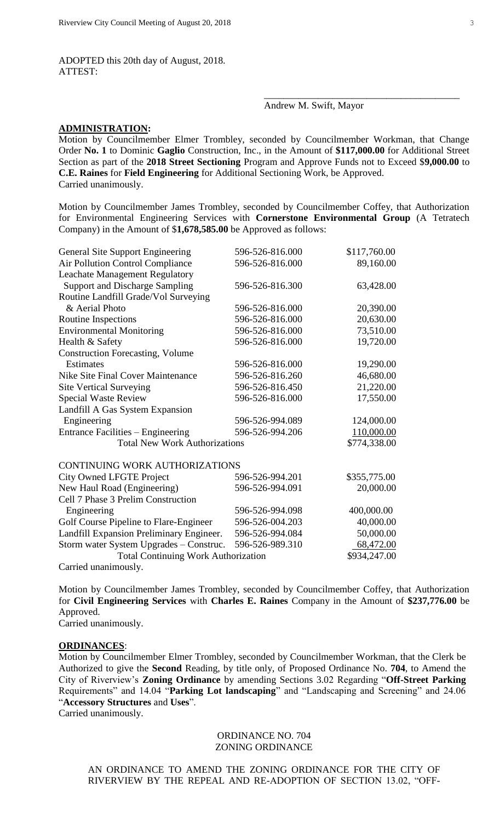ADOPTED this 20th day of August, 2018. ATTEST:

## Andrew M. Swift, Mayor

\_\_\_\_\_\_\_\_\_\_\_\_\_\_\_\_\_\_\_\_\_\_\_\_\_\_\_\_\_\_\_\_\_\_\_\_\_\_\_\_

#### **ADMINISTRATION:**

Motion by Councilmember Elmer Trombley, seconded by Councilmember Workman, that Change Order **No. 1** to Dominic **Gaglio** Construction, Inc., in the Amount of **\$117,000.00** for Additional Street Section as part of the **2018 Street Sectioning** Program and Approve Funds not to Exceed \$**9,000.00** to **C.E. Raines** for **Field Engineering** for Additional Sectioning Work, be Approved. Carried unanimously.

Motion by Councilmember James Trombley, seconded by Councilmember Coffey, that Authorization for Environmental Engineering Services with **Cornerstone Environmental Group** (A Tetratech Company) in the Amount of \$**1,678,585.00** be Approved as follows:

| General Site Support Engineering           | 596-526-816.000 | \$117,760.00 |
|--------------------------------------------|-----------------|--------------|
| Air Pollution Control Compliance           | 596-526-816.000 | 89,160.00    |
| <b>Leachate Management Regulatory</b>      |                 |              |
| <b>Support and Discharge Sampling</b>      | 596-526-816.300 | 63,428.00    |
| Routine Landfill Grade/Vol Surveying       |                 |              |
| & Aerial Photo                             | 596-526-816.000 | 20,390.00    |
| Routine Inspections                        | 596-526-816.000 | 20,630.00    |
| <b>Environmental Monitoring</b>            | 596-526-816.000 | 73,510.00    |
| Health & Safety                            | 596-526-816.000 | 19,720.00    |
| <b>Construction Forecasting, Volume</b>    |                 |              |
| Estimates                                  | 596-526-816.000 | 19,290.00    |
| Nike Site Final Cover Maintenance          | 596-526-816.260 | 46,680.00    |
| <b>Site Vertical Surveying</b>             | 596-526-816.450 | 21,220.00    |
| <b>Special Waste Review</b>                | 596-526-816.000 | 17,550.00    |
| Landfill A Gas System Expansion            |                 |              |
| Engineering                                | 596-526-994.089 | 124,000.00   |
| Entrance Facilities – Engineering          | 596-526-994.206 | 110,000.00   |
| <b>Total New Work Authorizations</b>       |                 | \$774,338.00 |
| <b>CONTINUING WORK AUTHORIZATIONS</b>      |                 |              |
| <b>City Owned LFGTE Project</b>            | 596-526-994.201 | \$355,775.00 |
| New Haul Road (Engineering)                | 596-526-994.091 | 20,000.00    |
| Cell 7 Phase 3 Prelim Construction         |                 |              |
| Engineering                                | 596-526-994.098 | 400,000.00   |
| Golf Course Pipeline to Flare-Engineer     | 596-526-004.203 | 40,000.00    |
| Landfill Expansion Preliminary Engineer.   | 596-526-994.084 | 50,000.00    |
| Storm water System Upgrades - Construc.    | 596-526-989.310 | 68,472.00    |
| <b>Total Continuing Work Authorization</b> | \$934,247.00    |              |
| Carried unanimously.                       |                 |              |

Motion by Councilmember James Trombley, seconded by Councilmember Coffey, that Authorization for **Civil Engineering Services** with **Charles E. Raines** Company in the Amount of **\$237,776.00** be Approved.

Carried unanimously.

#### **ORDINANCES**:

Motion by Councilmember Elmer Trombley, seconded by Councilmember Workman, that the Clerk be Authorized to give the **Second** Reading, by title only, of Proposed Ordinance No. **704**, to Amend the City of Riverview's **Zoning Ordinance** by amending Sections 3.02 Regarding "**Off-Street Parking** Requirements" and 14.04 "**Parking Lot landscaping**" and "Landscaping and Screening" and 24.06 "**Accessory Structures** and **Uses**".

Carried unanimously.

### ORDINANCE NO. 704 ZONING ORDINANCE

AN ORDINANCE TO AMEND THE ZONING ORDINANCE FOR THE CITY OF RIVERVIEW BY THE REPEAL AND RE-ADOPTION OF SECTION 13.02, "OFF-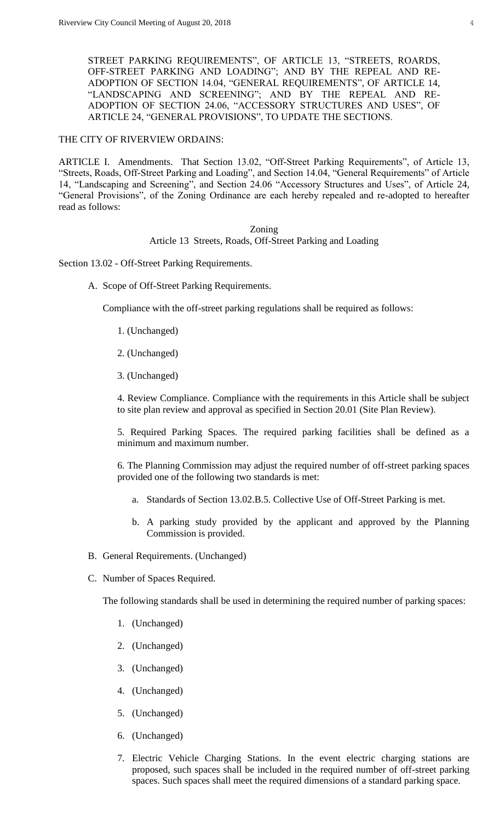STREET PARKING REQUIREMENTS", OF ARTICLE 13, "STREETS, ROARDS, OFF-STREET PARKING AND LOADING"; AND BY THE REPEAL AND RE-ADOPTION OF SECTION 14.04, "GENERAL REQUIREMENTS", OF ARTICLE 14, "LANDSCAPING AND SCREENING"; AND BY THE REPEAL AND RE-ADOPTION OF SECTION 24.06, "ACCESSORY STRUCTURES AND USES", OF ARTICLE 24, "GENERAL PROVISIONS", TO UPDATE THE SECTIONS.

### THE CITY OF RIVERVIEW ORDAINS:

ARTICLE I. Amendments. That Section 13.02, "Off-Street Parking Requirements", of Article 13, "Streets, Roads, Off-Street Parking and Loading", and Section 14.04, "General Requirements" of Article 14, "Landscaping and Screening", and Section 24.06 "Accessory Structures and Uses", of Article 24, "General Provisions", of the Zoning Ordinance are each hereby repealed and re-adopted to hereafter read as follows:

### Zoning Article 13 Streets, Roads, Off-Street Parking and Loading

Section 13.02 - Off-Street Parking Requirements.

A. Scope of Off-Street Parking Requirements.

Compliance with the off-street parking regulations shall be required as follows:

- 1. (Unchanged)
- 2. (Unchanged)
- 3. (Unchanged)

4. Review Compliance. Compliance with the requirements in this Article shall be subject to site plan review and approval as specified in Section 20.01 (Site Plan Review).

5. Required Parking Spaces. The required parking facilities shall be defined as a minimum and maximum number.

6. The Planning Commission may adjust the required number of off-street parking spaces provided one of the following two standards is met:

- a. Standards of Section 13.02.B.5. Collective Use of Off-Street Parking is met.
- b. A parking study provided by the applicant and approved by the Planning Commission is provided.
- B. General Requirements. (Unchanged)
- C. Number of Spaces Required.

The following standards shall be used in determining the required number of parking spaces:

- 1. (Unchanged)
- 2. (Unchanged)
- 3. (Unchanged)
- 4. (Unchanged)
- 5. (Unchanged)
- 6. (Unchanged)
- 7. Electric Vehicle Charging Stations. In the event electric charging stations are proposed, such spaces shall be included in the required number of off-street parking spaces. Such spaces shall meet the required dimensions of a standard parking space.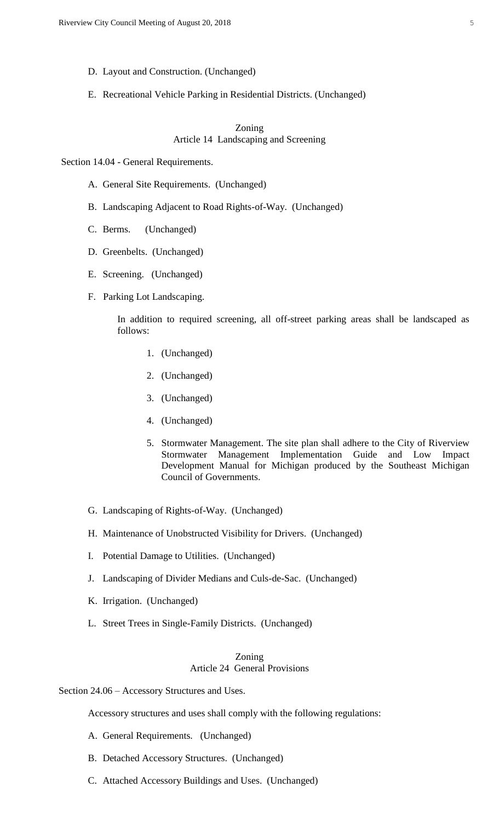- D. Layout and Construction. (Unchanged)
- E. Recreational Vehicle Parking in Residential Districts. (Unchanged)

# Zoning Article 14 Landscaping and Screening

Section 14.04 - General Requirements.

- A. General Site Requirements. (Unchanged)
- B. Landscaping Adjacent to Road Rights-of-Way. (Unchanged)
- C. Berms. (Unchanged)
- D. Greenbelts. (Unchanged)
- E. Screening. (Unchanged)
- F. Parking Lot Landscaping.

In addition to required screening, all off-street parking areas shall be landscaped as follows:

- 1. (Unchanged)
- 2. (Unchanged)
- 3. (Unchanged)
- 4. (Unchanged)
- 5. Stormwater Management. The site plan shall adhere to the City of Riverview Stormwater Management Implementation Guide and Low Impact Development Manual for Michigan produced by the Southeast Michigan Council of Governments.
- G. Landscaping of Rights-of-Way. (Unchanged)
- H. Maintenance of Unobstructed Visibility for Drivers. (Unchanged)
- I. Potential Damage to Utilities. (Unchanged)
- J. Landscaping of Divider Medians and Culs-de-Sac. (Unchanged)
- K. Irrigation. (Unchanged)
- L. Street Trees in Single-Family Districts. (Unchanged)

### Zoning Article 24 General Provisions

Section 24.06 – Accessory Structures and Uses.

Accessory structures and uses shall comply with the following regulations:

- A. General Requirements. (Unchanged)
- B. Detached Accessory Structures. (Unchanged)
- C. Attached Accessory Buildings and Uses. (Unchanged)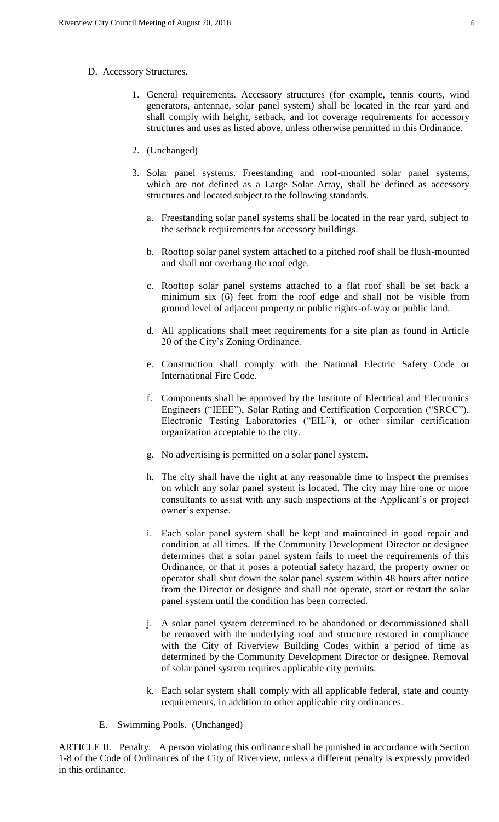- D. Accessory Structures.
	- 1. General requirements. Accessory structures (for example, tennis courts, wind generators, antennae, solar panel system) shall be located in the rear yard and shall comply with height, setback, and lot coverage requirements for accessory structures and uses as listed above, unless otherwise permitted in this Ordinance.
	- 2. (Unchanged)
	- 3. Solar panel systems. Freestanding and roof-mounted solar panel systems, which are not defined as a Large Solar Array, shall be defined as accessory structures and located subject to the following standards.
		- a. Freestanding solar panel systems shall be located in the rear yard, subject to the setback requirements for accessory buildings.
		- b. Rooftop solar panel system attached to a pitched roof shall be flush-mounted and shall not overhang the roof edge.
		- c. Rooftop solar panel systems attached to a flat roof shall be set back a minimum six (6) feet from the roof edge and shall not be visible from ground level of adjacent property or public rights-of-way or public land.
		- d. All applications shall meet requirements for a site plan as found in Article 20 of the City's Zoning Ordinance.
		- e. Construction shall comply with the National Electric Safety Code or International Fire Code.
		- f. Components shall be approved by the Institute of Electrical and Electronics Engineers ("IEEE"), Solar Rating and Certification Corporation ("SRCC"), Electronic Testing Laboratories ("EIL"), or other similar certification organization acceptable to the city.
		- g. No advertising is permitted on a solar panel system.
		- h. The city shall have the right at any reasonable time to inspect the premises on which any solar panel system is located. The city may hire one or more consultants to assist with any such inspections at the Applicant's or project owner's expense.
		- i. Each solar panel system shall be kept and maintained in good repair and condition at all times. If the Community Development Director or designee determines that a solar panel system fails to meet the requirements of this Ordinance, or that it poses a potential safety hazard, the property owner or operator shall shut down the solar panel system within 48 hours after notice from the Director or designee and shall not operate, start or restart the solar panel system until the condition has been corrected.
		- j. A solar panel system determined to be abandoned or decommissioned shall be removed with the underlying roof and structure restored in compliance with the City of Riverview Building Codes within a period of time as determined by the Community Development Director or designee. Removal of solar panel system requires applicable city permits.
		- k. Each solar system shall comply with all applicable federal, state and county requirements, in addition to other applicable city ordinances.
	- E. Swimming Pools. (Unchanged)

ARTICLE II. Penalty: A person violating this ordinance shall be punished in accordance with Section 1-8 of the Code of Ordinances of the City of Riverview, unless a different penalty is expressly provided in this ordinance.